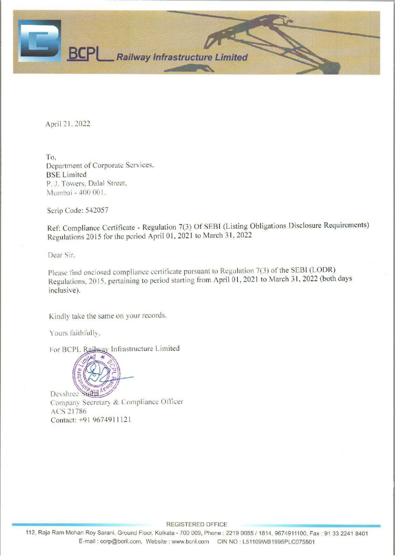

April 21, 2022

To, Department of Corporate Services. BSE Limited P. J. Towers, Dalal Street, Mumbai - 400 001.

Scrip Code: 542057

Ref: Compliance Certificate - Regulation 7(3) Of SEBI (Listing Obligations Disclosure Requirements) Regulations 2015 for the period April 01, 2021 to March 31, 2022

Dear Sir.

Please find enclosed compliance certificate pursuant to Regulation 7(3) of the SEBI (LODR) Regulations, 2015, pertaining to period starting from April 01, 2021 to March 31, 2022 (both days inclusive).

Kindly take the same on your records.

Yours faithfully,

For BCPL Railway Infrastructure Limited



Devshree Sinta Company Secretary & Compliance Officer ACS 21786 Contact: +91 9674911121

EES REGISTERED OFFICE

Ram Mohan Roy Sarani<br>E-mail : corp 112, Raja Ram Mohan Roy Sarani, Ground Fioor, Kolkata - 700 009, Phone : 2219 0085 / 1814, 9674911100, Fax : 91 33 2241 8401 E-mail : corp@bcril.com, Website : www.bcril.com CIN NO :L51108WB1995PLC075801